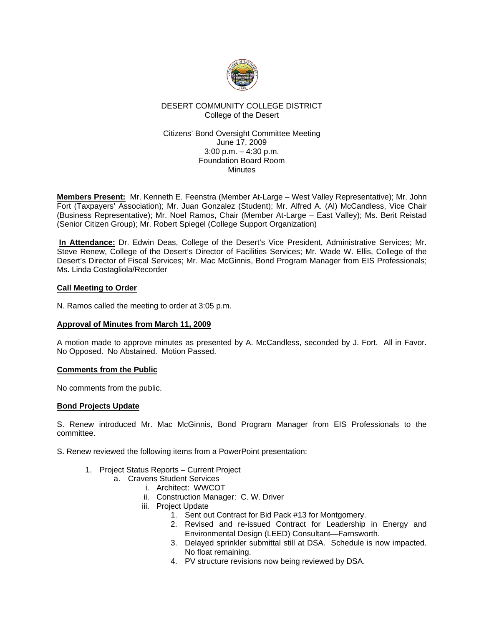

### DESERT COMMUNITY COLLEGE DISTRICT College of the Desert

#### Citizens' Bond Oversight Committee Meeting June 17, 2009 3:00 p.m. – 4:30 p.m. Foundation Board Room **Minutes**

**Members Present:** Mr. Kenneth E. Feenstra (Member At-Large – West Valley Representative); Mr. John Fort (Taxpayers' Association); Mr. Juan Gonzalez (Student); Mr. Alfred A. (Al) McCandless, Vice Chair (Business Representative); Mr. Noel Ramos, Chair (Member At-Large – East Valley); Ms. Berit Reistad (Senior Citizen Group); Mr. Robert Spiegel (College Support Organization)

**In Attendance:** Dr. Edwin Deas, College of the Desert's Vice President, Administrative Services; Mr. Steve Renew, College of the Desert's Director of Facilities Services; Mr. Wade W. Ellis, College of the Desert's Director of Fiscal Services; Mr. Mac McGinnis, Bond Program Manager from EIS Professionals; Ms. Linda Costagliola/Recorder

### **Call Meeting to Order**

N. Ramos called the meeting to order at 3:05 p.m.

# **Approval of Minutes from March 11, 2009**

A motion made to approve minutes as presented by A. McCandless, seconded by J. Fort. All in Favor. No Opposed. No Abstained. Motion Passed.

# **Comments from the Public**

No comments from the public.

# **Bond Projects Update**

S. Renew introduced Mr. Mac McGinnis, Bond Program Manager from EIS Professionals to the committee.

S. Renew reviewed the following items from a PowerPoint presentation:

- 1. Project Status Reports Current Project
	- a. Cravens Student Services
		- i. Architect: WWCOT
		- ii. Construction Manager: C. W. Driver
		- iii. Project Update
			- 1. Sent out Contract for Bid Pack #13 for Montgomery.
			- 2. Revised and re-issued Contract for Leadership in Energy and Environmental Design (LEED) Consultant-Farnsworth.
			- 3. Delayed sprinkler submittal still at DSA. Schedule is now impacted. No float remaining.
			- 4. PV structure revisions now being reviewed by DSA.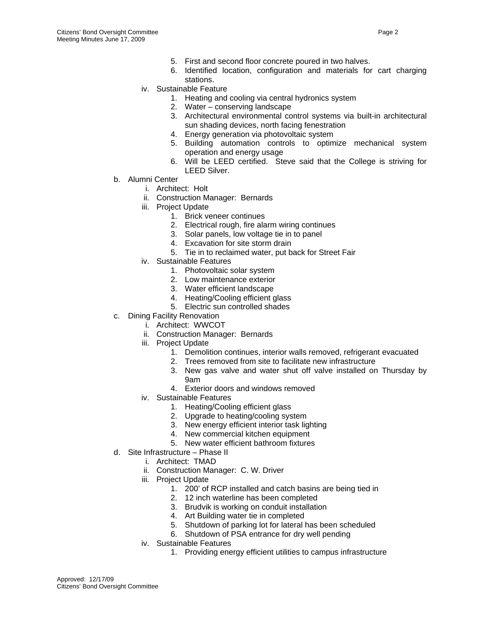- 5. First and second floor concrete poured in two halves.
- 6. Identified location, configuration and materials for cart charging stations.
- iv. Sustainable Feature
	- 1. Heating and cooling via central hydronics system
	- 2. Water conserving landscape
	- 3. Architectural environmental control systems via built-in architectural sun shading devices, north facing fenestration
	- 4. Energy generation via photovoltaic system
	- 5. Building automation controls to optimize mechanical system operation and energy usage
	- 6. Will be LEED certified. Steve said that the College is striving for LEED Silver.
- b. Alumni Center
	- i. Architect: Holt
	- ii. Construction Manager: Bernards
	- iii. Project Update
		- 1. Brick veneer continues
		- 2. Electrical rough, fire alarm wiring continues
		- 3. Solar panels, low voltage tie in to panel
		- 4. Excavation for site storm drain
		- 5. Tie in to reclaimed water, put back for Street Fair
	- iv. Sustainable Features
		- 1. Photovoltaic solar system
		- 2. Low maintenance exterior
		- 3. Water efficient landscape
		- 4. Heating/Cooling efficient glass
		- 5. Electric sun controlled shades
- c. Dining Facility Renovation
	- i. Architect: WWCOT
	- ii. Construction Manager: Bernards
	- iii. Project Update
		- 1. Demolition continues, interior walls removed, refrigerant evacuated
		- 2. Trees removed from site to facilitate new infrastructure
		- 3. New gas valve and water shut off valve installed on Thursday by 9am
		- 4. Exterior doors and windows removed
	- iv. Sustainable Features
		- 1. Heating/Cooling efficient glass
		- 2. Upgrade to heating/cooling system
		- 3. New energy efficient interior task lighting
		- 4. New commercial kitchen equipment
		- 5. New water efficient bathroom fixtures
- d. Site Infrastructure Phase II
	- i. Architect: TMAD
	- ii. Construction Manager: C. W. Driver
	- iii. Project Update
		- 1. 200' of RCP installed and catch basins are being tied in
		- 2. 12 inch waterline has been completed
		- 3. Brudvik is working on conduit installation
		- 4. Art Building water tie in completed
		- 5. Shutdown of parking lot for lateral has been scheduled
		- 6. Shutdown of PSA entrance for dry well pending
	- iv. Sustainable Features
		- 1. Providing energy efficient utilities to campus infrastructure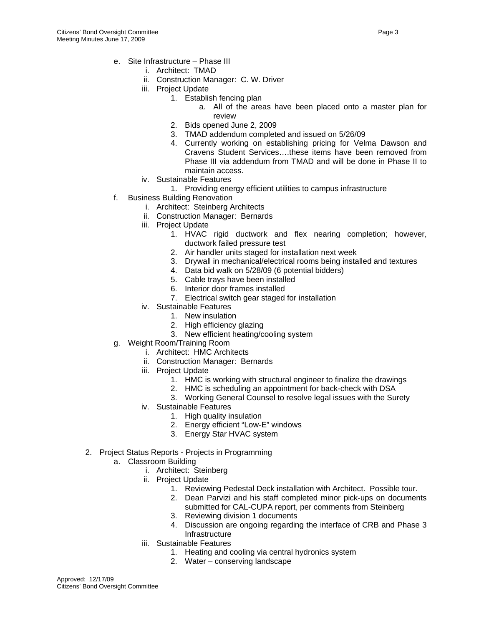- e. Site Infrastructure Phase III
	- i. Architect: TMAD
	- ii. Construction Manager: C. W. Driver
	- iii. Project Update
		- 1. Establish fencing plan
			- a. All of the areas have been placed onto a master plan for review
		- 2. Bids opened June 2, 2009
		- 3. TMAD addendum completed and issued on 5/26/09
		- 4. Currently working on establishing pricing for Velma Dawson and Cravens Student Services….these items have been removed from Phase III via addendum from TMAD and will be done in Phase II to maintain access.
	- iv. Sustainable Features
		- 1. Providing energy efficient utilities to campus infrastructure
- f. Business Building Renovation
	- i. Architect: Steinberg Architects
	- ii. Construction Manager: Bernards
	- iii. Project Update
		- 1. HVAC rigid ductwork and flex nearing completion; however, ductwork failed pressure test
		- 2. Air handler units staged for installation next week
		- 3. Drywall in mechanical/electrical rooms being installed and textures
		- 4. Data bid walk on 5/28/09 (6 potential bidders)
		- 5. Cable trays have been installed
		- 6. Interior door frames installed
		- 7. Electrical switch gear staged for installation
	- iv. Sustainable Features
		- 1. New insulation
		- 2. High efficiency glazing
		- 3. New efficient heating/cooling system
- g. Weight Room/Training Room
	- i. Architect: HMC Architects
	- ii. Construction Manager: Bernards
	- iii. Project Update
		- 1. HMC is working with structural engineer to finalize the drawings
		- 2. HMC is scheduling an appointment for back-check with DSA
		- 3. Working General Counsel to resolve legal issues with the Surety
	- iv. Sustainable Features
		- 1. High quality insulation
		- 2. Energy efficient "Low-E" windows
		- 3. Energy Star HVAC system
- 2. Project Status Reports Projects in Programming
	- a. Classroom Building
		- i. Architect: Steinberg
		- ii. Project Update
			- 1. Reviewing Pedestal Deck installation with Architect. Possible tour.
			- 2. Dean Parvizi and his staff completed minor pick-ups on documents submitted for CAL-CUPA report, per comments from Steinberg
			- 3. Reviewing division 1 documents
			- 4. Discussion are ongoing regarding the interface of CRB and Phase 3 Infrastructure
		- iii. Sustainable Features
			- 1. Heating and cooling via central hydronics system
			- 2. Water conserving landscape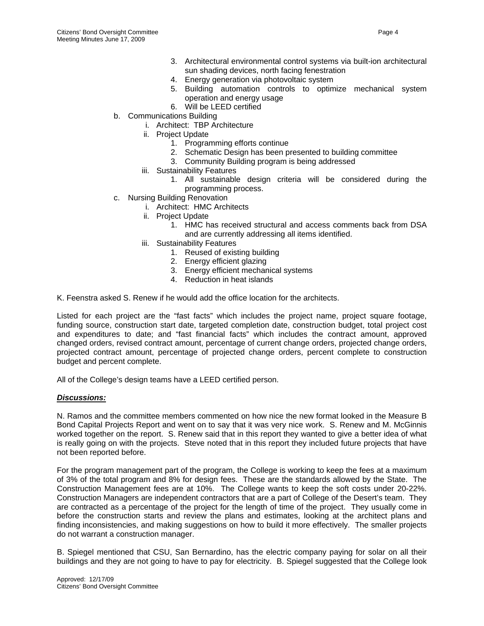- 3. Architectural environmental control systems via built-ion architectural sun shading devices, north facing fenestration
- 4. Energy generation via photovoltaic system
- 5. Building automation controls to optimize mechanical system operation and energy usage
- 6. Will be LEED certified
- b. Communications Building
	- i. Architect: TBP Architecture
	- ii. Project Update
		- 1. Programming efforts continue
		- 2. Schematic Design has been presented to building committee
		- 3. Community Building program is being addressed
	- iii. Sustainability Features
		- 1. All sustainable design criteria will be considered during the programming process.
- c. Nursing Building Renovation
	- i. Architect: HMC Architects
	- ii. Project Update
		- 1. HMC has received structural and access comments back from DSA and are currently addressing all items identified.
	- iii. Sustainability Features
		- 1. Reused of existing building
		- 2. Energy efficient glazing
		- 3. Energy efficient mechanical systems
		- 4. Reduction in heat islands

K. Feenstra asked S. Renew if he would add the office location for the architects.

Listed for each project are the "fast facts" which includes the project name, project square footage, funding source, construction start date, targeted completion date, construction budget, total project cost and expenditures to date; and "fast financial facts" which includes the contract amount, approved changed orders, revised contract amount, percentage of current change orders, projected change orders, projected contract amount, percentage of projected change orders, percent complete to construction budget and percent complete.

All of the College's design teams have a LEED certified person.

#### *Discussions:*

N. Ramos and the committee members commented on how nice the new format looked in the Measure B Bond Capital Projects Report and went on to say that it was very nice work. S. Renew and M. McGinnis worked together on the report. S. Renew said that in this report they wanted to give a better idea of what is really going on with the projects. Steve noted that in this report they included future projects that have not been reported before.

For the program management part of the program, the College is working to keep the fees at a maximum of 3% of the total program and 8% for design fees. These are the standards allowed by the State. The Construction Management fees are at 10%. The College wants to keep the soft costs under 20-22%. Construction Managers are independent contractors that are a part of College of the Desert's team. They are contracted as a percentage of the project for the length of time of the project. They usually come in before the construction starts and review the plans and estimates, looking at the architect plans and finding inconsistencies, and making suggestions on how to build it more effectively. The smaller projects do not warrant a construction manager.

B. Spiegel mentioned that CSU, San Bernardino, has the electric company paying for solar on all their buildings and they are not going to have to pay for electricity. B. Spiegel suggested that the College look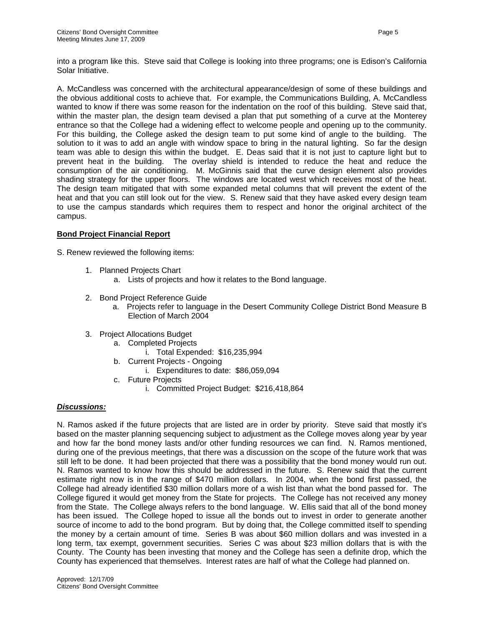into a program like this. Steve said that College is looking into three programs; one is Edison's California Solar Initiative.

A. McCandless was concerned with the architectural appearance/design of some of these buildings and the obvious additional costs to achieve that. For example, the Communications Building, A. McCandless wanted to know if there was some reason for the indentation on the roof of this building. Steve said that, within the master plan, the design team devised a plan that put something of a curve at the Monterey entrance so that the College had a widening effect to welcome people and opening up to the community. For this building, the College asked the design team to put some kind of angle to the building. The solution to it was to add an angle with window space to bring in the natural lighting. So far the design team was able to design this within the budget. E. Deas said that it is not just to capture light but to prevent heat in the building. The overlay shield is intended to reduce the heat and reduce the consumption of the air conditioning. M. McGinnis said that the curve design element also provides shading strategy for the upper floors. The windows are located west which receives most of the heat. The design team mitigated that with some expanded metal columns that will prevent the extent of the heat and that you can still look out for the view. S. Renew said that they have asked every design team to use the campus standards which requires them to respect and honor the original architect of the campus.

# **Bond Project Financial Report**

S. Renew reviewed the following items:

- 1. Planned Projects Chart
	- a. Lists of projects and how it relates to the Bond language.
- 2. Bond Project Reference Guide
	- a. Projects refer to language in the Desert Community College District Bond Measure B Election of March 2004
- 3. Project Allocations Budget
	- a. Completed Projects
		- i. Total Expended: \$16,235,994
	- b. Current Projects Ongoing
		- i. Expenditures to date: \$86,059,094
	- c. Future Projects
		- i. Committed Project Budget: \$216,418,864

# *Discussions:*

N. Ramos asked if the future projects that are listed are in order by priority. Steve said that mostly it's based on the master planning sequencing subject to adjustment as the College moves along year by year and how far the bond money lasts and/or other funding resources we can find. N. Ramos mentioned, during one of the previous meetings, that there was a discussion on the scope of the future work that was still left to be done. It had been projected that there was a possibility that the bond money would run out. N. Ramos wanted to know how this should be addressed in the future. S. Renew said that the current estimate right now is in the range of \$470 million dollars. In 2004, when the bond first passed, the College had already identified \$30 million dollars more of a wish list than what the bond passed for. The College figured it would get money from the State for projects. The College has not received any money from the State. The College always refers to the bond language. W. Ellis said that all of the bond money has been issued. The College hoped to issue all the bonds out to invest in order to generate another source of income to add to the bond program. But by doing that, the College committed itself to spending the money by a certain amount of time. Series B was about \$60 million dollars and was invested in a long term, tax exempt, government securities. Series C was about \$23 million dollars that is with the County. The County has been investing that money and the College has seen a definite drop, which the County has experienced that themselves. Interest rates are half of what the College had planned on.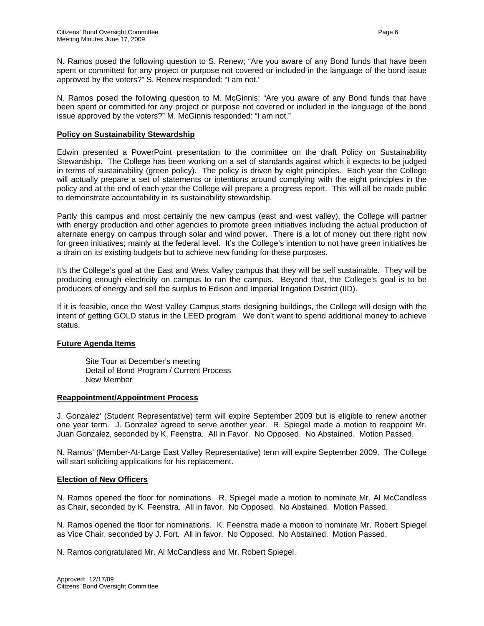N. Ramos posed the following question to S. Renew; "Are you aware of any Bond funds that have been spent or committed for any project or purpose not covered or included in the language of the bond issue approved by the voters?" S. Renew responded: "I am not."

N. Ramos posed the following question to M. McGinnis; "Are you aware of any Bond funds that have been spent or committed for any project or purpose not covered or included in the language of the bond issue approved by the voters?" M. McGinnis responded: "I am not."

#### **Policy on Sustainability Stewardship**

Edwin presented a PowerPoint presentation to the committee on the draft Policy on Sustainability Stewardship. The College has been working on a set of standards against which it expects to be judged in terms of sustainability (green policy). The policy is driven by eight principles. Each year the College will actually prepare a set of statements or intentions around complying with the eight principles in the policy and at the end of each year the College will prepare a progress report. This will all be made public to demonstrate accountability in its sustainability stewardship.

Partly this campus and most certainly the new campus (east and west valley), the College will partner with energy production and other agencies to promote green initiatives including the actual production of alternate energy on campus through solar and wind power. There is a lot of money out there right now for green initiatives; mainly at the federal level. It's the College's intention to not have green initiatives be a drain on its existing budgets but to achieve new funding for these purposes.

It's the College's goal at the East and West Valley campus that they will be self sustainable. They will be producing enough electricity on campus to run the campus. Beyond that, the College's goal is to be producers of energy and sell the surplus to Edison and Imperial Irrigation District (IID).

If it is feasible, once the West Valley Campus starts designing buildings, the College will design with the intent of getting GOLD status in the LEED program. We don't want to spend additional money to achieve status.

#### **Future Agenda Items**

 Site Tour at December's meeting Detail of Bond Program / Current Process New Member

#### **Reappointment/Appointment Process**

J. Gonzalez' (Student Representative) term will expire September 2009 but is eligible to renew another one year term. J. Gonzalez agreed to serve another year. R. Spiegel made a motion to reappoint Mr. Juan Gonzalez, seconded by K. Feenstra. All in Favor. No Opposed. No Abstained. Motion Passed.

N. Ramos' (Member-At-Large East Valley Representative) term will expire September 2009. The College will start soliciting applications for his replacement.

#### **Election of New Officers**

N. Ramos opened the floor for nominations. R. Spiegel made a motion to nominate Mr. Al McCandless as Chair, seconded by K. Feenstra. All in favor. No Opposed. No Abstained. Motion Passed.

N. Ramos opened the floor for nominations. K. Feenstra made a motion to nominate Mr. Robert Spiegel as Vice Chair, seconded by J. Fort. All in favor. No Opposed. No Abstained. Motion Passed.

N. Ramos congratulated Mr. Al McCandless and Mr. Robert Spiegel.